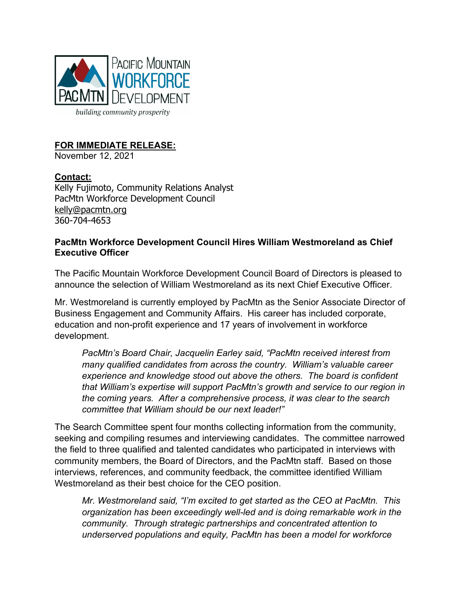

# **FOR IMMEDIATE RELEASE:**

November 12, 2021

### **Contact:**

Kelly Fujimoto, Community Relations Analyst PacMtn Workforce Development Council kelly@pacmtn.org 360-704-4653

#### **PacMtn Workforce Development Council Hires William Westmoreland as Chief Executive Officer**

The Pacific Mountain Workforce Development Council Board of Directors is pleased to announce the selection of William Westmoreland as its next Chief Executive Officer.

Mr. Westmoreland is currently employed by PacMtn as the Senior Associate Director of Business Engagement and Community Affairs. His career has included corporate, education and non-profit experience and 17 years of involvement in workforce development.

*PacMtn's Board Chair, Jacquelin Earley said, "PacMtn received interest from many qualified candidates from across the country. William's valuable career experience and knowledge stood out above the others. The board is confident that William's expertise will support PacMtn's growth and service to our region in the coming years. After a comprehensive process, it was clear to the search committee that William should be our next leader!"* 

The Search Committee spent four months collecting information from the community, seeking and compiling resumes and interviewing candidates. The committee narrowed the field to three qualified and talented candidates who participated in interviews with community members, the Board of Directors, and the PacMtn staff. Based on those interviews, references, and community feedback, the committee identified William Westmoreland as their best choice for the CEO position.

*Mr. Westmoreland said, "I'm excited to get started as the CEO at PacMtn. This organization has been exceedingly well-led and is doing remarkable work in the community. Through strategic partnerships and concentrated attention to underserved populations and equity, PacMtn has been a model for workforce*